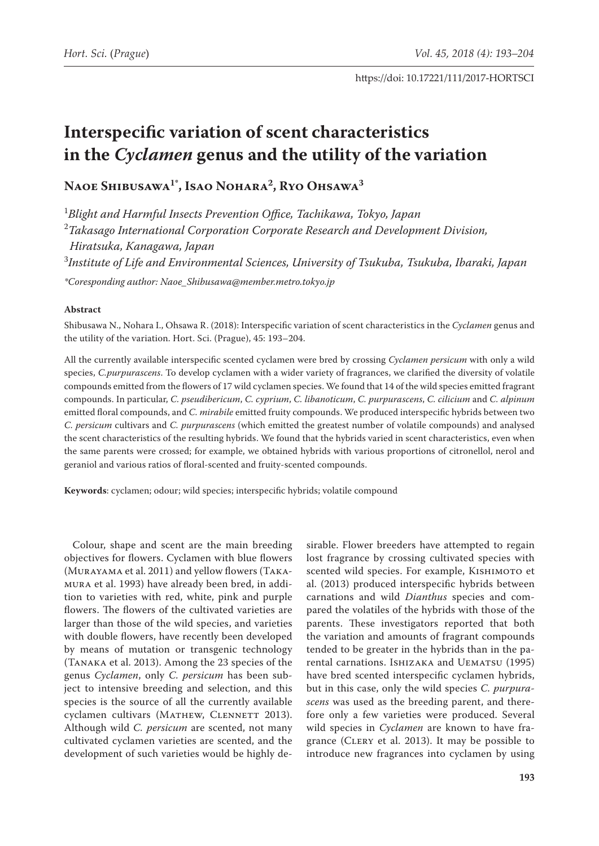# **Interspecific variation of scent characteristics in the** *Cyclamen* **genus and the utility of the variation**

**Naoe Shibusawa1\*, Isao Nohara2 , Ryo Ohsawa3**

1 *Blight and Harmful Insects Prevention Office, Tachikawa, Tokyo, Japan*

2 *Takasago International Corporation Corporate Research and Development Division, Hiratsuka, Kanagawa, Japan*

3 *Institute of Life and Environmental Sciences, University of Tsukuba, Tsukuba, Ibaraki, Japan*

*\*Coresponding author: [Naoe\\_Shibusawa@member.metro.tokyo.jp](mailto:Naoe_Shibusawa@member.metro.tokyo.jp)*

### **Abstract**

Shibusawa N., Nohara I., Ohsawa R. (2018): Interspecific variation of scent characteristics in the *Cyclamen* genus and the utility of the variation. Hort. Sci. (Prague), 45: 193–204.

All the currently available interspecific scented cyclamen were bred by crossing *Cyclamen persicum* with only a wild species, *C.purpurascens*. To develop cyclamen with a wider variety of fragrances, we clarified the diversity of volatile compounds emitted from the flowers of 17 wild cyclamen species. We found that 14 of the wild species emitted fragrant compounds. In particular, *C. pseudibericum*, *C. cyprium*, *C. libanoticum*, *C. purpurascens*, *C. cilicium* and *C. alpinum* emitted floral compounds, and *C. mirabile* emitted fruity compounds. We produced interspecific hybrids between two *C. persicum* cultivars and *C. purpurascens* (which emitted the greatest number of volatile compounds) and analysed the scent characteristics of the resulting hybrids. We found that the hybrids varied in scent characteristics, even when the same parents were crossed; for example, we obtained hybrids with various proportions of citronellol, nerol and geraniol and various ratios of floral-scented and fruity-scented compounds.

**Keywords**: cyclamen; odour; wild species; interspecific hybrids; volatile compound

Colour, shape and scent are the main breeding objectives for flowers. Cyclamen with blue flowers (Murayama et al. 2011) and yellow flowers (Takamura et al. 1993) have already been bred, in addition to varieties with red, white, pink and purple flowers. The flowers of the cultivated varieties are larger than those of the wild species, and varieties with double flowers, have recently been developed by means of mutation or transgenic technology (Tanaka et al. 2013). Among the 23 species of the genus *Cyclamen*, only *C. persicum* has been subject to intensive breeding and selection, and this species is the source of all the currently available cyclamen cultivars (MATHEW, CLENNETT 2013). Although wild *C. persicum* are scented, not many cultivated cyclamen varieties are scented, and the development of such varieties would be highly de-

sirable. Flower breeders have attempted to regain lost fragrance by crossing cultivated species with scented wild species. For example, KISHIMOTO et al. (2013) produced interspecific hybrids between carnations and wild *Dianthus* species and compared the volatiles of the hybrids with those of the parents. These investigators reported that both the variation and amounts of fragrant compounds tended to be greater in the hybrids than in the parental carnations. Ishizaka and UEMATSU (1995) have bred scented interspecific cyclamen hybrids, but in this case, only the wild species *C. purpurascens* was used as the breeding parent, and therefore only a few varieties were produced. Several wild species in *Cyclamen* are known to have fragrance (Clery et al. 2013). It may be possible to introduce new fragrances into cyclamen by using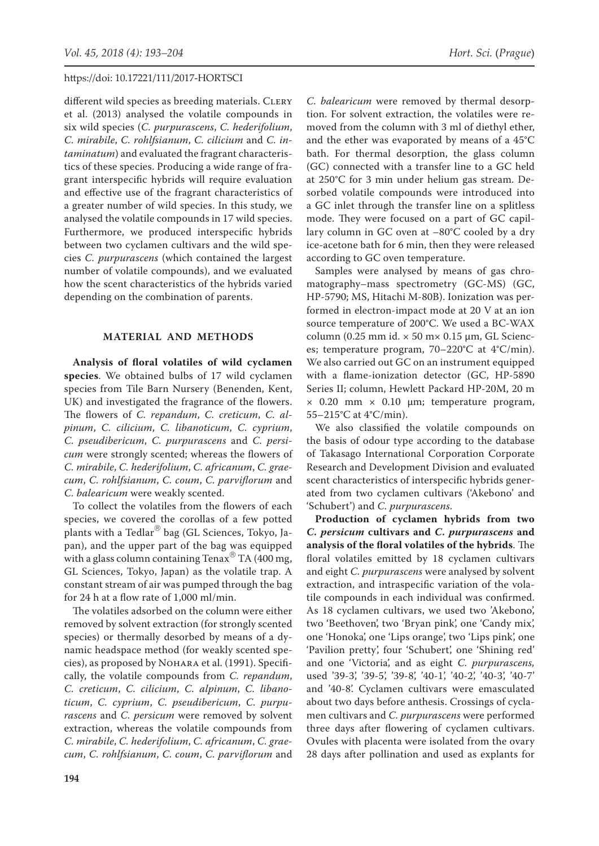different wild species as breeding materials. CLERY et al. (2013) analysed the volatile compounds in six wild species (*C. purpurascens*, *C. hederifolium*, *C. mirabile*, *C. rohlfsianum*, *C. cilicium* and *C. intaminatum*) and evaluated the fragrant characteristics of these species. Producing a wide range of fragrant interspecific hybrids will require evaluation and effective use of the fragrant characteristics of a greater number of wild species. In this study, we analysed the volatile compounds in 17 wild species. Furthermore, we produced interspecific hybrids between two cyclamen cultivars and the wild species *C. purpurascens* (which contained the largest number of volatile compounds), and we evaluated how the scent characteristics of the hybrids varied depending on the combination of parents.

### **MATERIAL AND METHODS**

**Analysis of floral volatiles of wild cyclamen species**. We obtained bulbs of 17 wild cyclamen species from Tile Barn Nursery (Benenden, Kent, UK) and investigated the fragrance of the flowers. The flowers of *C. repandum*, *C. creticum*, *C. alpinum*, *C. cilicium*, *C. libanoticum*, *C. cyprium*, *C. pseudibericum*, *C. purpurascens* and *C. persicum* were strongly scented; whereas the flowers of *C. mirabile*, *C. hederifolium*, *C. africanum*, *C. graecum*, *C. rohlfsianum*, *C. coum*, *C. parviflorum* and *C. balearicum* were weakly scented.

To collect the volatiles from the flowers of each species, we covered the corollas of a few potted plants with a Tedlar $^{\circledR}$  bag (GL Sciences, Tokyo, Japan), and the upper part of the bag was equipped with a glass column containing Tenax $^{\circledR}$  TA (400 mg, GL Sciences, Tokyo, Japan) as the volatile trap. A constant stream of air was pumped through the bag for 24 h at a flow rate of 1,000 ml/min.

The volatiles adsorbed on the column were either removed by solvent extraction (for strongly scented species) or thermally desorbed by means of a dynamic headspace method (for weakly scented species), as proposed by Nohara et al. (1991). Specifically, the volatile compounds from *C. repandum*, *C. creticum*, *C. cilicium*, *C. alpinum*, *C. libanoticum*, *C. cyprium*, *C. pseudibericum*, *C. purpurascens* and *C. persicum* were removed by solvent extraction, whereas the volatile compounds from *C. mirabile*, *C. hederifolium*, *C. africanum*, *C. graecum*, *C. rohlfsianum*, *C. coum*, *C. parviflorum* and *C. balearicum* were removed by thermal desorption. For solvent extraction, the volatiles were removed from the column with 3 ml of diethyl ether, and the ether was evaporated by means of a 45°C bath. For thermal desorption, the glass column (GC) connected with a transfer line to a GC held at 250°C for 3 min under helium gas stream. Desorbed volatile compounds were introduced into a GC inlet through the transfer line on a splitless mode. They were focused on a part of GC capillary column in GC oven at –80°C cooled by a dry ice-acetone bath for 6 min, then they were released according to GC oven temperature.

Samples were analysed by means of gas chromatography–mass spectrometry (GC-MS) (GC, HP-5790; MS, Hitachi M-80B). Ionization was performed in electron-impact mode at 20 V at an ion source temperature of 200°C. We used a BC-WAX column (0.25 mm id. × 50 m× 0.15 µm, GL Sciences; temperature program, 70–220°C at 4°C/min). We also carried out GC on an instrument equipped with a flame-ionization detector (GC, HP-5890 Series II; column, Hewlett Packard HP-20M, 20 m  $\times$  0.20 mm  $\times$  0.10 µm; temperature program, 55–215°C at 4°C/min).

We also classified the volatile compounds on the basis of odour type according to the database of Takasago International Corporation Corporate Research and Development Division and evaluated scent characteristics of interspecific hybrids generated from two cyclamen cultivars ('Akebono' and 'Schubert') and *C. purpurascens*.

**Production of cyclamen hybrids from two**  *C. persicum* **cultivars and** *C. purpurascens* **and analysis of the floral volatiles of the hybrids**. The floral volatiles emitted by 18 cyclamen cultivars and eight *C. purpurascens* were analysed by solvent extraction, and intraspecific variation of the volatile compounds in each individual was confirmed. As 18 cyclamen cultivars, we used two 'Akebono', two 'Beethoven', two 'Bryan pink', one 'Candy mix', one 'Honoka', one 'Lips orange', two 'Lips pink', one 'Pavilion pretty', four 'Schubert', one 'Shining red' and one 'Victoria', and as eight *C. purpurascens,*  used '39-3', '39-5', '39-8', '40-1', '40-2', '40-3', '40-7' and '40-8'. Cyclamen cultivars were emasculated about two days before anthesis. Crossings of cyclamen cultivars and *C. purpurascens* were performed three days after flowering of cyclamen cultivars. Ovules with placenta were isolated from the ovary 28 days after pollination and used as explants for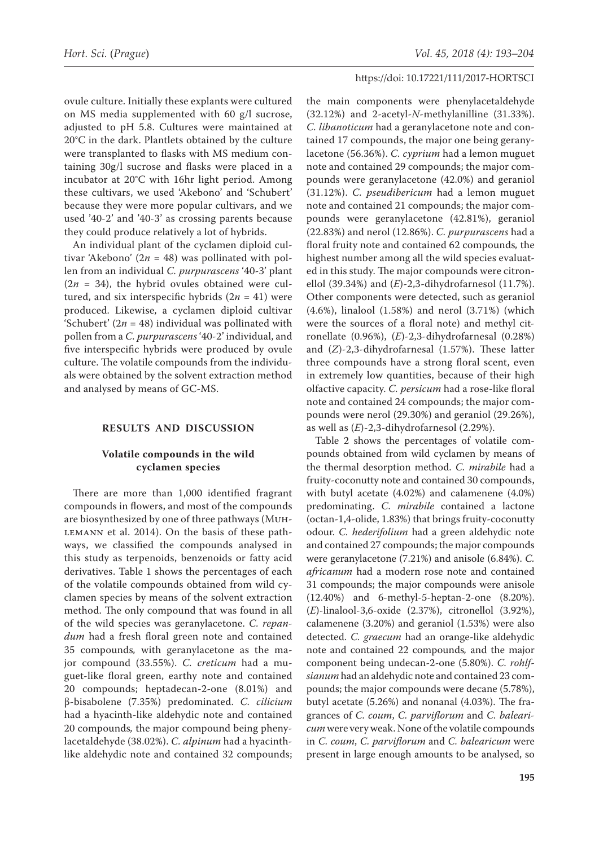ovule culture. Initially these explants were cultured on MS media supplemented with 60 g/l sucrose, adjusted to pH 5.8. Cultures were maintained at 20°C in the dark. Plantlets obtained by the culture were transplanted to flasks with MS medium containing 30g/l sucrose and flasks were placed in a incubator at 20°C with 16hr light period. Among these cultivars, we used 'Akebono' and 'Schubert' because they were more popular cultivars, and we used '40-2' and '40-3' as crossing parents because they could produce relatively a lot of hybrids.

An individual plant of the cyclamen diploid cultivar 'Akebono'  $(2n = 48)$  was pollinated with pollen from an individual *C. purpurascens* '40-3' plant  $(2n = 34)$ , the hybrid ovules obtained were cultured, and six interspecific hybrids (2*n* = 41) were produced. Likewise, a cyclamen diploid cultivar 'Schubert'  $(2n = 48)$  individual was pollinated with pollen from a *C. purpurascens* '40-2' individual, and five interspecific hybrids were produced by ovule culture. The volatile compounds from the individuals were obtained by the solvent extraction method and analysed by means of GC-MS.

### **RESULTS AND DISCUSSION**

# **Volatile compounds in the wild cyclamen species**

There are more than 1,000 identified fragrant compounds in flowers, and most of the compounds are biosynthesized by one of three pathways (Muh-LEMANN et al. 2014). On the basis of these pathways, we classified the compounds analysed in this study as terpenoids, benzenoids or fatty acid derivatives. Table 1 shows the percentages of each of the volatile compounds obtained from wild cyclamen species by means of the solvent extraction method. The only compound that was found in all of the wild species was geranylacetone. *C. repandum* had a fresh floral green note and contained 35 compounds*,* with geranylacetone as the major compound (33.55%). *C. creticum* had a muguet-like floral green, earthy note and contained 20 compounds; heptadecan-2-one (8.01%) and β-bisabolene (7.35%) predominated. *C. cilicium* had a hyacinth-like aldehydic note and contained 20 compounds*,* the major compound being phenylacetaldehyde (38.02%). *C. alpinum* had a hyacinthlike aldehydic note and contained 32 compounds;

the main components were phenylacetaldehyde (32.12%) and 2-acetyl-*N*-methylanilline (31.33%). *C. libanoticum* had a geranylacetone note and contained 17 compounds, the major one being geranylacetone (56.36%). *C. cyprium* had a lemon muguet note and contained 29 compounds; the major compounds were geranylacetone (42.0%) and geraniol (31.12%). *C. pseudibericum* had a lemon muguet note and contained 21 compounds; the major compounds were geranylacetone (42.81%), geraniol (22.83%) and nerol (12.86%). *C. purpurascens* had a floral fruity note and contained 62 compounds*,* the highest number among all the wild species evaluated in this study. The major compounds were citronellol (39.34%) and (*E*)-2,3-dihydrofarnesol (11.7%). Other components were detected, such as geraniol (4.6%), linalool (1.58%) and nerol (3.71%) (which were the sources of a floral note) and methyl citronellate (0.96%), (*E*)-2,3-dihydrofarnesal (0.28%) and (*Z*)-2,3-dihydrofarnesal (1.57%). These latter three compounds have a strong floral scent, even in extremely low quantities, because of their high olfactive capacity. *C. persicum* had a rose-like floral note and contained 24 compounds; the major compounds were nerol (29.30%) and geraniol (29.26%), as well as (*E*)-2,3-dihydrofarnesol (2.29%).

Table 2 shows the percentages of volatile compounds obtained from wild cyclamen by means of the thermal desorption method. *C. mirabile* had a fruity-coconutty note and contained 30 compounds, with butyl acetate (4.02%) and calamenene (4.0%) predominating. *C. mirabile* contained a lactone (octan-1,4-olide, 1.83%) that brings fruity-coconutty odour. *C. hederifolium* had a green aldehydic note and contained 27 compounds; the major compounds were geranylacetone (7.21%) and anisole (6.84%). *C. africanum* had a modern rose note and contained 31 compounds; the major compounds were anisole (12.40%) and 6-methyl-5-heptan-2-one (8.20%). (*E*)-linalool-3,6-oxide (2.37%), citronellol (3.92%), calamenene (3.20%) and geraniol (1.53%) were also detected. *C. graecum* had an orange-like aldehydic note and contained 22 compounds*,* and the major component being undecan-2-one (5.80%). *C. rohlfsianum* had an aldehydic note and contained 23 compounds; the major compounds were decane (5.78%), butyl acetate (5.26%) and nonanal (4.03%). The fragrances of *C. coum*, *C. parviflorum* and *C. balearicum* were very weak. None of the volatile compounds in *C. coum*, *C. parviflorum* and *C. balearicum* were present in large enough amounts to be analysed, so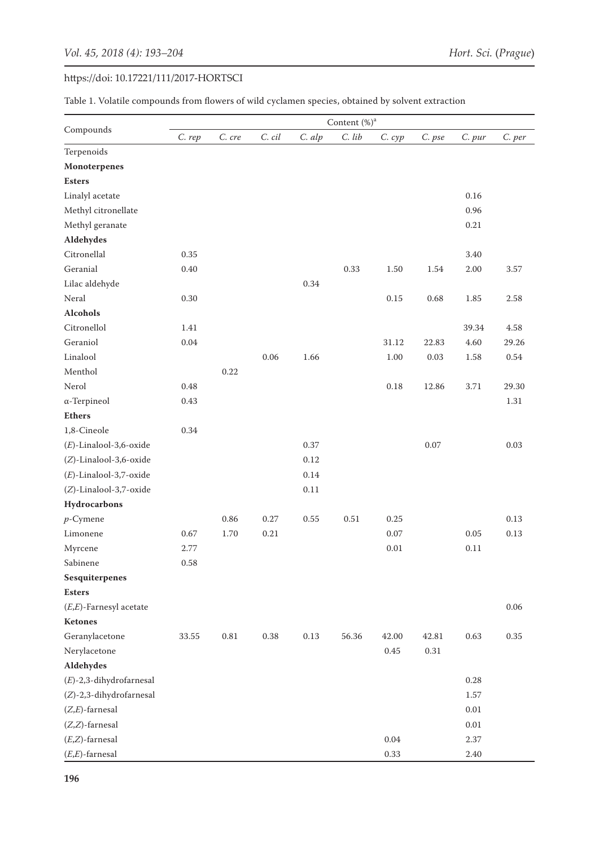Table 1. Volatile compounds from flowers of wild cyclamen species, obtained by solvent extraction

|                            | Content (%) <sup>a</sup> |            |          |            |        |          |          |          |          |
|----------------------------|--------------------------|------------|----------|------------|--------|----------|----------|----------|----------|
| Compounds                  | C. rep                   | $C.$ $cre$ | C. cil   | $C.$ $alp$ | C. lib | C. cyp   | C. pse   | $C.$ pur | C. per   |
| Terpenoids                 |                          |            |          |            |        |          |          |          |          |
| Monoterpenes               |                          |            |          |            |        |          |          |          |          |
| <b>Esters</b>              |                          |            |          |            |        |          |          |          |          |
| Linalyl acetate            |                          |            |          |            |        |          |          | 0.16     |          |
| Methyl citronellate        |                          |            |          |            |        |          |          | 0.96     |          |
| Methyl geranate            |                          |            |          |            |        |          |          | 0.21     |          |
| Aldehydes                  |                          |            |          |            |        |          |          |          |          |
| Citronellal                | 0.35                     |            |          |            |        |          |          | 3.40     |          |
| Geranial                   | 0.40                     |            |          |            | 0.33   | 1.50     | 1.54     | $2.00\,$ | 3.57     |
| Lilac aldehyde             |                          |            |          | 0.34       |        |          |          |          |          |
| Neral                      | 0.30                     |            |          |            |        | 0.15     | 0.68     | 1.85     | 2.58     |
| <b>Alcohols</b>            |                          |            |          |            |        |          |          |          |          |
| Citronellol                | 1.41                     |            |          |            |        |          |          | 39.34    | 4.58     |
| Geraniol                   | $0.04\,$                 |            |          |            |        | 31.12    | 22.83    | 4.60     | 29.26    |
| Linalool                   |                          |            | 0.06     | 1.66       |        | 1.00     | $0.03\,$ | 1.58     | $0.54\,$ |
| Menthol                    |                          | 0.22       |          |            |        |          |          |          |          |
| Nerol                      | 0.48                     |            |          |            |        | 0.18     | 12.86    | 3.71     | 29.30    |
| $\alpha$ -Terpineol        | 0.43                     |            |          |            |        |          |          |          | 1.31     |
| <b>Ethers</b>              |                          |            |          |            |        |          |          |          |          |
| 1,8-Cineole                | 0.34                     |            |          |            |        |          |          |          |          |
| $(E)$ -Linalool-3,6-oxide  |                          |            |          | 0.37       |        |          | 0.07     |          | 0.03     |
| $(Z)$ -Linalool-3,6-oxide  |                          |            |          | 0.12       |        |          |          |          |          |
| $(E)$ -Linalool-3,7-oxide  |                          |            |          | 0.14       |        |          |          |          |          |
| (Z)-Linalool-3,7-oxide     |                          |            |          | 0.11       |        |          |          |          |          |
| Hydrocarbons               |                          |            |          |            |        |          |          |          |          |
| $p$ -Cymene                |                          | 0.86       | 0.27     | 0.55       | 0.51   | 0.25     |          |          | 0.13     |
| Limonene                   | 0.67                     | 1.70       | 0.21     |            |        | $0.07\,$ |          | 0.05     | 0.13     |
| Myrcene                    | 2.77                     |            |          |            |        | $0.01\,$ |          | 0.11     |          |
| Sabinene                   | $0.58\,$                 |            |          |            |        |          |          |          |          |
| Sesquiterpenes             |                          |            |          |            |        |          |          |          |          |
| <b>Esters</b>              |                          |            |          |            |        |          |          |          |          |
| $(E,E)$ -Farnesyl acetate  |                          |            |          |            |        |          |          |          | $0.06\,$ |
| Ketones                    |                          |            |          |            |        |          |          |          |          |
| Geranylacetone             | 33.55                    | $\rm 0.81$ | $0.38\,$ | $0.13\,$   | 56.36  | 42.00    | 42.81    | 0.63     | 0.35     |
| Nerylacetone               |                          |            |          |            |        | $0.45\,$ | $0.31\,$ |          |          |
| Aldehydes                  |                          |            |          |            |        |          |          |          |          |
| $(E)$ -2,3-dihydrofarnesal |                          |            |          |            |        |          |          | 0.28     |          |
| (Z)-2,3-dihydrofarnesal    |                          |            |          |            |        |          |          | 1.57     |          |
| $(Z,E)$ -farnesal          |                          |            |          |            |        |          |          | $0.01\,$ |          |
| $(Z,Z)$ -farnesal          |                          |            |          |            |        |          |          | $0.01\,$ |          |
| $(E,Z)$ -farnesal          |                          |            |          |            |        | $0.04\,$ |          | 2.37     |          |
| $(E,E)$ -farnesal          |                          |            |          |            |        | 0.33     |          | $2.40\,$ |          |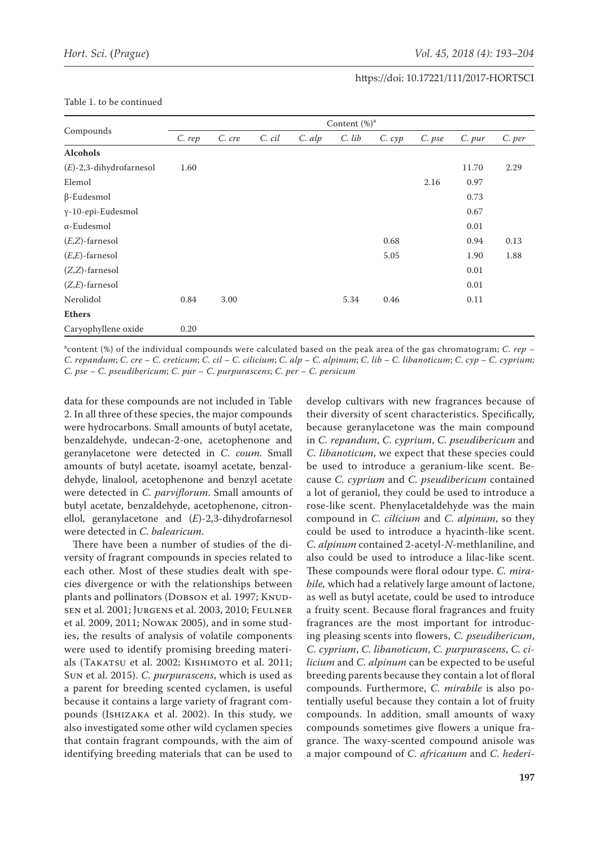Table 1. to be continued

| Compounds                  | Content $(\%)^a$ |        |        |            |        |        |        |          |        |
|----------------------------|------------------|--------|--------|------------|--------|--------|--------|----------|--------|
|                            | C. rep           | C. cre | C. cil | $C.$ $alp$ | C. lib | C. cyp | C. pse | $C.$ pur | C. per |
| <b>Alcohols</b>            |                  |        |        |            |        |        |        |          |        |
| $(E)$ -2,3-dihydrofarnesol | 1.60             |        |        |            |        |        |        | 11.70    | 2.29   |
| Elemol                     |                  |        |        |            |        |        | 2.16   | 0.97     |        |
| $\beta$ -Eudesmol          |                  |        |        |            |        |        |        | 0.73     |        |
| γ-10-epi-Eudesmol          |                  |        |        |            |        |        |        | 0.67     |        |
| $\alpha$ -Eudesmol         |                  |        |        |            |        |        |        | 0.01     |        |
| $(E,Z)$ -farnesol          |                  |        |        |            |        | 0.68   |        | 0.94     | 0.13   |
| $(E,E)$ -farnesol          |                  |        |        |            |        | 5.05   |        | 1.90     | 1.88   |
| $(Z,Z)$ -farnesol          |                  |        |        |            |        |        |        | 0.01     |        |
| $(Z,E)$ -farnesol          |                  |        |        |            |        |        |        | 0.01     |        |
| Nerolidol                  | 0.84             | 3.00   |        |            | 5.34   | 0.46   |        | 0.11     |        |
| <b>Ethers</b>              |                  |        |        |            |        |        |        |          |        |
| Caryophyllene oxide        | 0.20             |        |        |            |        |        |        |          |        |

a content (%) of the individual compounds were calculated based on the peak area of the gas chromatogram; *C. rep* – *C. repandum*; *C. cre* – *C. creticum*; *C. cil* – *C. cilicium*; *C. alp* – *C. alpinum*; *C. lib* – *C. libanoticum*; *C. cyp* – *C. cyprium; C. pse* – *C. pseudibericum*; *C. pur* – *C. purpurascens*; *C. per* – *C. persicum*

data for these compounds are not included in Table 2. In all three of these species, the major compounds were hydrocarbons. Small amounts of butyl acetate, benzaldehyde, undecan-2-one, acetophenone and geranylacetone were detected in *C. coum*. Small amounts of butyl acetate, isoamyl acetate, benzaldehyde, linalool, acetophenone and benzyl acetate were detected in *C. parviflorum*. Small amounts of butyl acetate, benzaldehyde, acetophenone, citronellol, geranylacetone and (*E*)-2,3-dihydrofarnesol were detected in *C. balearicum*.

There have been a number of studies of the diversity of fragrant compounds in species related to each other. Most of these studies dealt with species divergence or with the relationships between plants and pollinators (DOBSON et al. 1997; KNUDsen et al. 2001; Jurgens et al. 2003, 2010; Feulner et al. 2009, 2011; Nowak 2005), and in some studies, the results of analysis of volatile components were used to identify promising breeding materials (TAKATSU et al. 2002; KISHIMOTO et al. 2011; Sun et al. 2015). *C. purpurascens*, which is used as a parent for breeding scented cyclamen, is useful because it contains a large variety of fragrant compounds (Ishizaka et al. 2002). In this study, we also investigated some other wild cyclamen species that contain fragrant compounds, with the aim of identifying breeding materials that can be used to develop cultivars with new fragrances because of their diversity of scent characteristics. Specifically, because geranylacetone was the main compound in *C. repandum*, *C. cyprium*, *C. pseudibericum* and *C. libanoticum*, we expect that these species could be used to introduce a geranium-like scent. Because *C. cyprium* and *C. pseudibericum* contained a lot of geraniol, they could be used to introduce a rose-like scent. Phenylacetaldehyde was the main compound in *C. cilicium* and *C. alpinum*, so they could be used to introduce a hyacinth-like scent. *C. alpinum* contained 2-acetyl-*N*-methlaniline, and also could be used to introduce a lilac-like scent. These compounds were floral odour type. *C. mirabile,* which had a relatively large amount of lactone, as well as butyl acetate, could be used to introduce a fruity scent. Because floral fragrances and fruity fragrances are the most important for introducing pleasing scents into flowers, *C. pseudibericum*, *C. cyprium*, *C. libanoticum*, *C. purpurascens*, *C. cilicium* and *C. alpinum* can be expected to be useful breeding parents because they contain a lot of floral compounds. Furthermore, *C. mirabile* is also potentially useful because they contain a lot of fruity compounds. In addition, small amounts of waxy compounds sometimes give flowers a unique fragrance. The waxy-scented compound anisole was a major compound of *C. africanum* and *C. hederi-*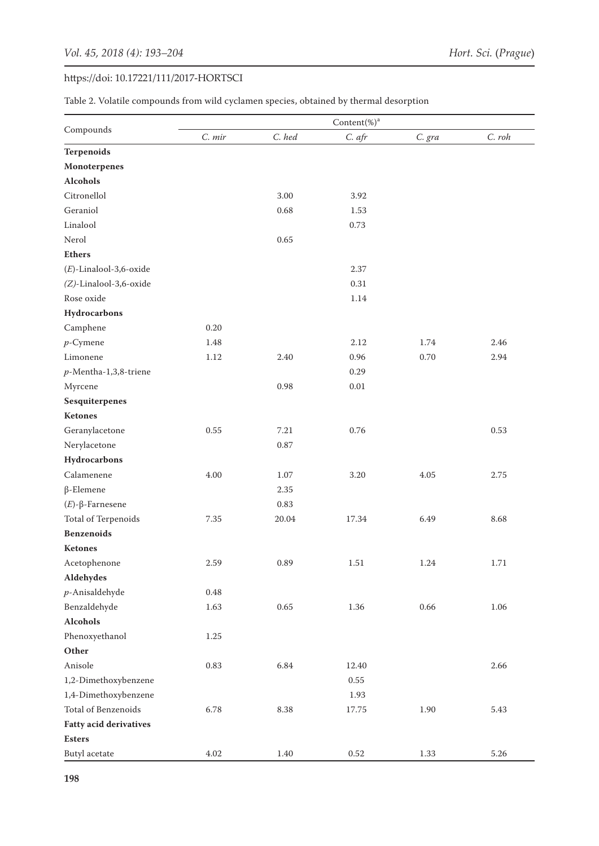Table 2. Volatile compounds from wild cyclamen species, obtained by thermal desorption

|                               |          |          | Content(%) <sup>a</sup> |        |        |
|-------------------------------|----------|----------|-------------------------|--------|--------|
| Compounds                     | C. mir   | C. hed   | C. afr                  | C. gra | C. roh |
| <b>Terpenoids</b>             |          |          |                         |        |        |
| Monoterpenes                  |          |          |                         |        |        |
| <b>Alcohols</b>               |          |          |                         |        |        |
| Citronellol                   |          | 3.00     | 3.92                    |        |        |
| Geraniol                      |          | 0.68     | 1.53                    |        |        |
| Linalool                      |          |          | 0.73                    |        |        |
| Nerol                         |          | 0.65     |                         |        |        |
| <b>Ethers</b>                 |          |          |                         |        |        |
| $(E)$ -Linalool-3,6-oxide     |          |          | 2.37                    |        |        |
| $(Z)$ -Linalool-3,6-oxide     |          |          | 0.31                    |        |        |
| Rose oxide                    |          |          | 1.14                    |        |        |
| Hydrocarbons                  |          |          |                         |        |        |
| Camphene                      | 0.20     |          |                         |        |        |
| $p$ -Cymene                   | 1.48     |          | 2.12                    | 1.74   | 2.46   |
| Limonene                      | 1.12     | 2.40     | 0.96                    | 0.70   | 2.94   |
| $p$ -Mentha-1,3,8-triene      |          |          | 0.29                    |        |        |
| Myrcene                       |          | 0.98     | $0.01\,$                |        |        |
| Sesquiterpenes                |          |          |                         |        |        |
| Ketones                       |          |          |                         |        |        |
| Geranylacetone                | 0.55     | 7.21     | 0.76                    |        | 0.53   |
| Nerylacetone                  |          | 0.87     |                         |        |        |
| Hydrocarbons                  |          |          |                         |        |        |
| Calamenene                    | 4.00     | 1.07     | 3.20                    | 4.05   | 2.75   |
| $\beta$ -Elemene              |          | 2.35     |                         |        |        |
| $(E)$ -β-Farnesene            |          | 0.83     |                         |        |        |
| Total of Terpenoids           | 7.35     | 20.04    | 17.34                   | 6.49   | 8.68   |
| <b>Benzenoids</b>             |          |          |                         |        |        |
| Ketones                       |          |          |                         |        |        |
| Acetophenone                  | 2.59     | 0.89     | $1.51\,$                | 1.24   | 1.71   |
| Aldehydes                     |          |          |                         |        |        |
| $p$ -Anisaldehyde             | $0.48\,$ |          |                         |        |        |
| Benzaldehyde                  | 1.63     | $0.65\,$ | 1.36                    | 0.66   | 1.06   |
| <b>Alcohols</b>               |          |          |                         |        |        |
| Phenoxyethanol                | $1.25\,$ |          |                         |        |        |
| Other                         |          |          |                         |        |        |
| Anisole                       | $0.83\,$ | 6.84     | 12.40                   |        | 2.66   |
| 1,2-Dimethoxybenzene          |          |          | 0.55                    |        |        |
| 1,4-Dimethoxybenzene          |          |          | 1.93                    |        |        |
| Total of Benzenoids           | 6.78     | 8.38     | 17.75                   | 1.90   | 5.43   |
| <b>Fatty acid derivatives</b> |          |          |                         |        |        |
| <b>Esters</b>                 |          |          |                         |        |        |
| Butyl acetate                 | 4.02     | 1.40     | $0.52\,$                | 1.33   | 5.26   |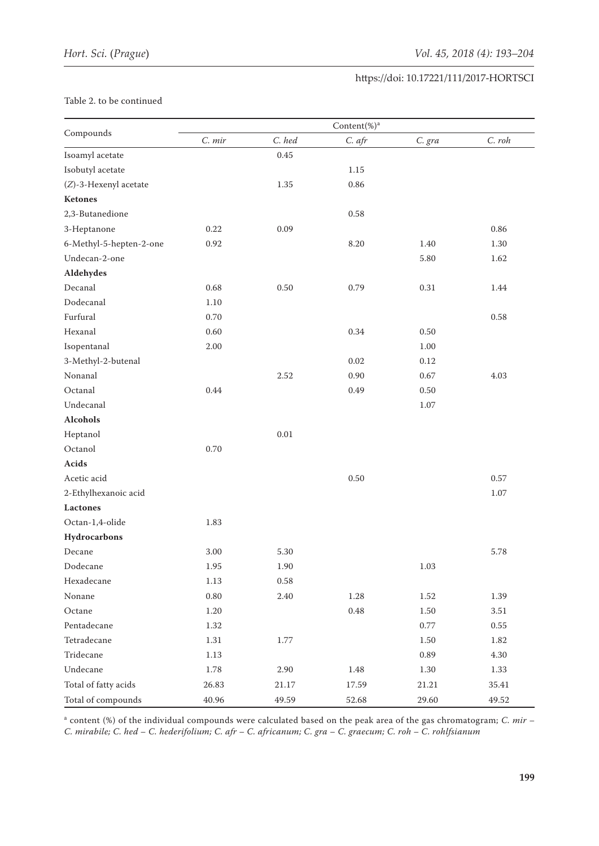### Table 2. to be continued

|                         | Content(%) <sup>a</sup> |          |          |          |          |  |  |  |
|-------------------------|-------------------------|----------|----------|----------|----------|--|--|--|
| Compounds               | $C.$ $mir$              | C. hed   | $C.$ afr | C. gra   | C. roh   |  |  |  |
| Isoamyl acetate         |                         | 0.45     |          |          |          |  |  |  |
| Isobutyl acetate        |                         |          | 1.15     |          |          |  |  |  |
| (Z)-3-Hexenyl acetate   |                         | 1.35     | 0.86     |          |          |  |  |  |
| Ketones                 |                         |          |          |          |          |  |  |  |
| 2,3-Butanedione         |                         |          | 0.58     |          |          |  |  |  |
| 3-Heptanone             | 0.22                    | 0.09     |          |          | 0.86     |  |  |  |
| 6-Methyl-5-hepten-2-one | 0.92                    |          | 8.20     | 1.40     | 1.30     |  |  |  |
| Undecan-2-one           |                         |          |          | 5.80     | 1.62     |  |  |  |
| Aldehydes               |                         |          |          |          |          |  |  |  |
| Decanal                 | 0.68                    | $0.50\,$ | 0.79     | 0.31     | 1.44     |  |  |  |
| Dodecanal               | 1.10                    |          |          |          |          |  |  |  |
| Furfural                | 0.70                    |          |          |          | 0.58     |  |  |  |
| Hexanal                 | 0.60                    |          | 0.34     | 0.50     |          |  |  |  |
| Isopentanal             | 2.00                    |          |          | 1.00     |          |  |  |  |
| 3-Methyl-2-butenal      |                         |          | $0.02\,$ | 0.12     |          |  |  |  |
| Nonanal                 |                         | 2.52     | 0.90     | 0.67     | 4.03     |  |  |  |
| Octanal                 | 0.44                    |          | 0.49     | 0.50     |          |  |  |  |
| Undecanal               |                         |          |          | 1.07     |          |  |  |  |
| <b>Alcohols</b>         |                         |          |          |          |          |  |  |  |
| Heptanol                |                         | $0.01\,$ |          |          |          |  |  |  |
| Octanol                 | 0.70                    |          |          |          |          |  |  |  |
| Acids                   |                         |          |          |          |          |  |  |  |
| Acetic acid             |                         |          | 0.50     |          | 0.57     |  |  |  |
| 2-Ethylhexanoic acid    |                         |          |          |          | $1.07\,$ |  |  |  |
| Lactones                |                         |          |          |          |          |  |  |  |
| Octan-1,4-olide         | 1.83                    |          |          |          |          |  |  |  |
| Hydrocarbons            |                         |          |          |          |          |  |  |  |
| Decane                  | 3.00                    | 5.30     |          |          | 5.78     |  |  |  |
| $\mbox{Dodecane}$       | 1.95                    | $1.90\,$ |          | $1.03\,$ |          |  |  |  |
| Hexadecane              | $1.13\,$                | $0.58\,$ |          |          |          |  |  |  |
| Nonane                  | $0.80\,$                | $2.40\,$ | 1.28     | $1.52\,$ | 1.39     |  |  |  |
| Octane                  | $1.20\,$                |          | $0.48\,$ | $1.50\,$ | 3.51     |  |  |  |
| Pentadecane             | 1.32                    |          |          | $0.77\,$ | $0.55\,$ |  |  |  |
| Tetradecane             | $1.31\,$                | 1.77     |          | 1.50     | $1.82\,$ |  |  |  |
| Tridecane               | $1.13\,$                |          |          | 0.89     | 4.30     |  |  |  |
| Undecane                | $1.78\,$                | 2.90     | $1.48\,$ | $1.30\,$ | 1.33     |  |  |  |
| Total of fatty acids    | 26.83                   | 21.17    | 17.59    | 21.21    | 35.41    |  |  |  |
| Total of compounds      | 40.96                   | 49.59    | 52.68    | 29.60    | 49.52    |  |  |  |

a content (%) of the individual compounds were calculated based on the peak area of the gas chromatogram; *C. mir – C. mirabile; C. hed – C. hederifolium; C. afr – C. africanum; C. gra – C. graecum; C. roh – C. rohlfsianum*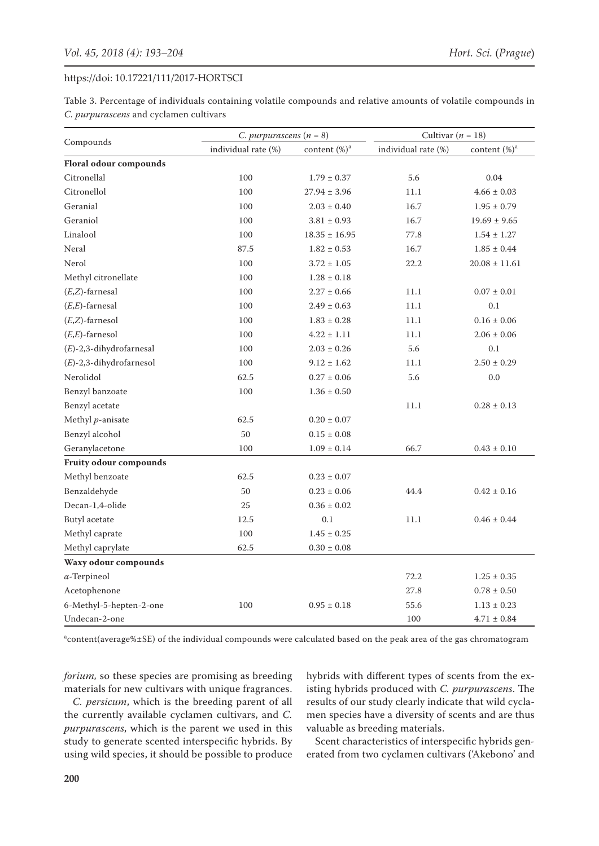Table 3. Percentage of individuals containing volatile compounds and relative amounts of volatile compounds in *C. purpurascens* and cyclamen cultivars

|                            | C. purpurascens $(n = 8)$ |                          | Cultivar ( $n = 18$ ) |                   |  |
|----------------------------|---------------------------|--------------------------|-----------------------|-------------------|--|
| Compounds                  | individual rate (%)       | content (%) <sup>a</sup> | individual rate (%)   | content $(\%)^a$  |  |
| Floral odour compounds     |                           |                          |                       |                   |  |
| Citronellal                | 100                       | $1.79 \pm 0.37$          | 5.6                   | 0.04              |  |
| Citronellol                | 100                       | $27.94 \pm 3.96$         | 11.1                  | $4.66 \pm 0.03$   |  |
| Geranial                   | 100                       | $2.03 \pm 0.40$          | 16.7                  | $1.95 \pm 0.79$   |  |
| Geraniol                   | 100                       | $3.81 \pm 0.93$          | 16.7                  | $19.69 \pm 9.65$  |  |
| Linalool                   | 100                       | $18.35 \pm 16.95$        | 77.8                  | $1.54 \pm 1.27$   |  |
| Neral                      | 87.5                      | $1.82 \pm 0.53$          | 16.7                  | $1.85 \pm 0.44$   |  |
| Nerol                      | 100                       | $3.72 \pm 1.05$          | 22.2                  | $20.08 \pm 11.61$ |  |
| Methyl citronellate        | 100                       | $1.28 \pm 0.18$          |                       |                   |  |
| $(E,Z)$ -farnesal          | 100                       | $2.27 \pm 0.66$          | 11.1                  | $0.07 \pm 0.01$   |  |
| $(E,E)$ -farnesal          | 100                       | $2.49 \pm 0.63$          | 11.1                  | 0.1               |  |
| $(E,Z)$ -farnesol          | 100                       | $1.83 \pm 0.28$          | 11.1                  | $0.16 \pm 0.06$   |  |
| $(E,E)$ -farnesol          | 100                       | $4.22 \pm 1.11$          | 11.1                  | $2.06 \pm 0.06$   |  |
| $(E)$ -2,3-dihydrofarnesal | 100                       | $2.03 \pm 0.26$          | 5.6                   | 0.1               |  |
| $(E)$ -2,3-dihydrofarnesol | 100                       | $9.12 \pm 1.62$          | 11.1                  | $2.50 \pm 0.29$   |  |
| Nerolidol                  | 62.5                      | $0.27 \pm 0.06$          | 5.6                   | $0.0\,$           |  |
| Benzyl banzoate            | 100                       | $1.36 \pm 0.50$          |                       |                   |  |
| Benzyl acetate             |                           |                          | 11.1                  | $0.28 \pm 0.13$   |  |
| Methyl $p$ -anisate        | 62.5                      | $0.20 \pm 0.07$          |                       |                   |  |
| Benzyl alcohol             | 50                        | $0.15 \pm 0.08$          |                       |                   |  |
| Geranylacetone             | 100                       | $1.09 \pm 0.14$          | 66.7                  | $0.43 \pm 0.10$   |  |
| Fruity odour compounds     |                           |                          |                       |                   |  |
| Methyl benzoate            | 62.5                      | $0.23 \pm 0.07$          |                       |                   |  |
| Benzaldehyde               | 50                        | $0.23 \pm 0.06$          | 44.4                  | $0.42 \pm 0.16$   |  |
| Decan-1,4-olide            | 25                        | $0.36 \pm 0.02$          |                       |                   |  |
| Butyl acetate              | 12.5                      | 0.1                      | 11.1                  | $0.46 \pm 0.44$   |  |
| Methyl caprate             | 100                       | $1.45 \pm 0.25$          |                       |                   |  |
| Methyl caprylate           | 62.5                      | $0.30 \pm 0.08$          |                       |                   |  |
| Waxy odour compounds       |                           |                          |                       |                   |  |
| $\alpha$ -Terpineol        |                           |                          | 72.2                  | $1.25 \pm 0.35$   |  |
| Acetophenone               |                           |                          | 27.8                  | $0.78 \pm 0.50$   |  |
| 6-Methyl-5-hepten-2-one    | 100                       | $0.95 \pm 0.18$          | 55.6                  | $1.13 \pm 0.23$   |  |
| Undecan-2-one              |                           |                          | 100                   | $4.71 \pm 0.84$   |  |

a content(average%±SE) of the individual compounds were calculated based on the peak area of the gas chromatogram

*forium,* so these species are promising as breeding materials for new cultivars with unique fragrances.

*C. persicum*, which is the breeding parent of all the currently available cyclamen cultivars, and *C. purpurascens*, which is the parent we used in this study to generate scented interspecific hybrids. By using wild species, it should be possible to produce hybrids with different types of scents from the existing hybrids produced with *C. purpurascens*. The results of our study clearly indicate that wild cyclamen species have a diversity of scents and are thus valuable as breeding materials.

Scent characteristics of interspecific hybrids generated from two cyclamen cultivars ('Akebono' and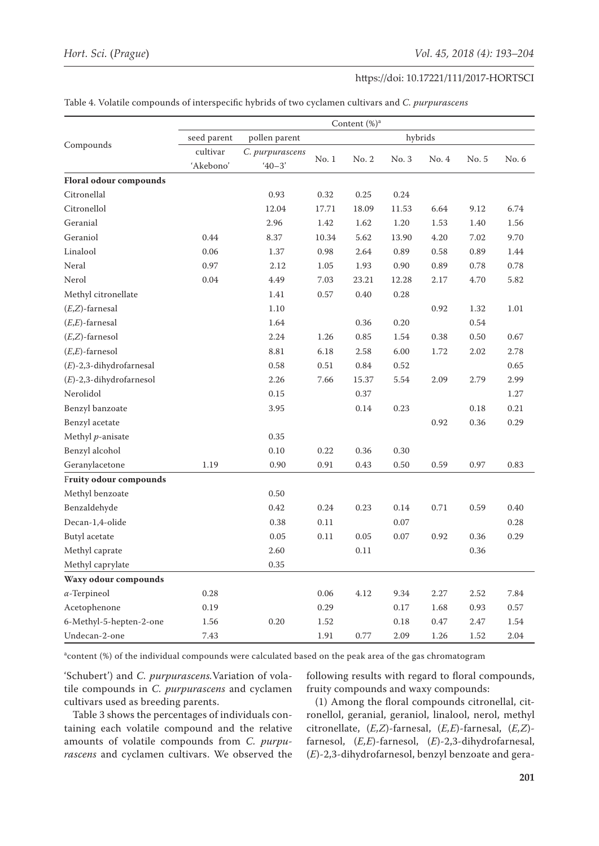|                               | Content (%) <sup>a</sup> |                 |         |       |       |      |       |       |  |  |
|-------------------------------|--------------------------|-----------------|---------|-------|-------|------|-------|-------|--|--|
|                               | seed parent              | pollen parent   | hybrids |       |       |      |       |       |  |  |
| Compounds                     | cultivar                 | C. purpurascens | No. 1   | No. 2 | No.3  | No.4 | No. 5 | No. 6 |  |  |
|                               | 'Akebono'                | $40 - 3'$       |         |       |       |      |       |       |  |  |
| Floral odour compounds        |                          |                 |         |       |       |      |       |       |  |  |
| Citronellal                   |                          | 0.93            | 0.32    | 0.25  | 0.24  |      |       |       |  |  |
| Citronellol                   |                          | 12.04           | 17.71   | 18.09 | 11.53 | 6.64 | 9.12  | 6.74  |  |  |
| Geranial                      |                          | 2.96            | 1.42    | 1.62  | 1.20  | 1.53 | 1.40  | 1.56  |  |  |
| Geraniol                      | 0.44                     | 8.37            | 10.34   | 5.62  | 13.90 | 4.20 | 7.02  | 9.70  |  |  |
| Linalool                      | 0.06                     | 1.37            | 0.98    | 2.64  | 0.89  | 0.58 | 0.89  | 1.44  |  |  |
| Neral                         | 0.97                     | 2.12            | 1.05    | 1.93  | 0.90  | 0.89 | 0.78  | 0.78  |  |  |
| Nerol                         | 0.04                     | 4.49            | 7.03    | 23.21 | 12.28 | 2.17 | 4.70  | 5.82  |  |  |
| Methyl citronellate           |                          | 1.41            | 0.57    | 0.40  | 0.28  |      |       |       |  |  |
| $(E,Z)$ -farnesal             |                          | 1.10            |         |       |       | 0.92 | 1.32  | 1.01  |  |  |
| $(E,E)$ -farnesal             |                          | 1.64            |         | 0.36  | 0.20  |      | 0.54  |       |  |  |
| $(E,Z)$ -farnesol             |                          | 2.24            | 1.26    | 0.85  | 1.54  | 0.38 | 0.50  | 0.67  |  |  |
| $(E,E)$ -farnesol             |                          | 8.81            | 6.18    | 2.58  | 6.00  | 1.72 | 2.02  | 2.78  |  |  |
| $(E)$ -2,3-dihydrofarnesal    |                          | 0.58            | 0.51    | 0.84  | 0.52  |      |       | 0.65  |  |  |
| $(E)$ -2,3-dihydrofarnesol    |                          | 2.26            | 7.66    | 15.37 | 5.54  | 2.09 | 2.79  | 2.99  |  |  |
| Nerolidol                     |                          | 0.15            |         | 0.37  |       |      |       | 1.27  |  |  |
| Benzyl banzoate               |                          | 3.95            |         | 0.14  | 0.23  |      | 0.18  | 0.21  |  |  |
| Benzyl acetate                |                          |                 |         |       |       | 0.92 | 0.36  | 0.29  |  |  |
| Methyl p-anisate              |                          | 0.35            |         |       |       |      |       |       |  |  |
| Benzyl alcohol                |                          | 0.10            | 0.22    | 0.36  | 0.30  |      |       |       |  |  |
| Geranylacetone                | 1.19                     | 0.90            | 0.91    | 0.43  | 0.50  | 0.59 | 0.97  | 0.83  |  |  |
| <b>Fruity odour compounds</b> |                          |                 |         |       |       |      |       |       |  |  |
| Methyl benzoate               |                          | 0.50            |         |       |       |      |       |       |  |  |
| Benzaldehyde                  |                          | 0.42            | 0.24    | 0.23  | 0.14  | 0.71 | 0.59  | 0.40  |  |  |
| Decan-1,4-olide               |                          | 0.38            | 0.11    |       | 0.07  |      |       | 0.28  |  |  |
| Butyl acetate                 |                          | 0.05            | 0.11    | 0.05  | 0.07  | 0.92 | 0.36  | 0.29  |  |  |
| Methyl caprate                |                          | 2.60            |         | 0.11  |       |      | 0.36  |       |  |  |
| Methyl caprylate              |                          | 0.35            |         |       |       |      |       |       |  |  |
| Waxy odour compounds          |                          |                 |         |       |       |      |       |       |  |  |
| $\alpha$ -Terpineol           | 0.28                     |                 | 0.06    | 4.12  | 9.34  | 2.27 | 2.52  | 7.84  |  |  |
| Acetophenone                  | 0.19                     |                 | 0.29    |       | 0.17  | 1.68 | 0.93  | 0.57  |  |  |
| 6-Methyl-5-hepten-2-one       | 1.56                     | 0.20            | 1.52    |       | 0.18  | 0.47 | 2.47  | 1.54  |  |  |
| Undecan-2-one                 | 7.43                     |                 | 1.91    | 0.77  | 2.09  | 1.26 | 1.52  | 2.04  |  |  |

Table 4. Volatile compounds of interspecific hybrids of two cyclamen cultivars and *C. purpurascens*

a content (%) of the individual compounds were calculated based on the peak area of the gas chromatogram

'Schubert') and *C. purpurascens.*Variation of volatile compounds in *C. purpurascens* and cyclamen cultivars used as breeding parents.

following results with regard to floral compounds, fruity compounds and waxy compounds:

Table 3 shows the percentages of individuals containing each volatile compound and the relative amounts of volatile compounds from *C. purpurascens* and cyclamen cultivars. We observed the

(1) Among the floral compounds citronellal, citronellol, geranial, geraniol, linalool, nerol, methyl citronellate, (*E,Z*)-farnesal, (*E,E*)-farnesal, (*E,Z*) farnesol, (*E,E*)-farnesol, (*E*)-2,3-dihydrofarnesal, (*E*)-2,3-dihydrofarnesol, benzyl benzoate and gera-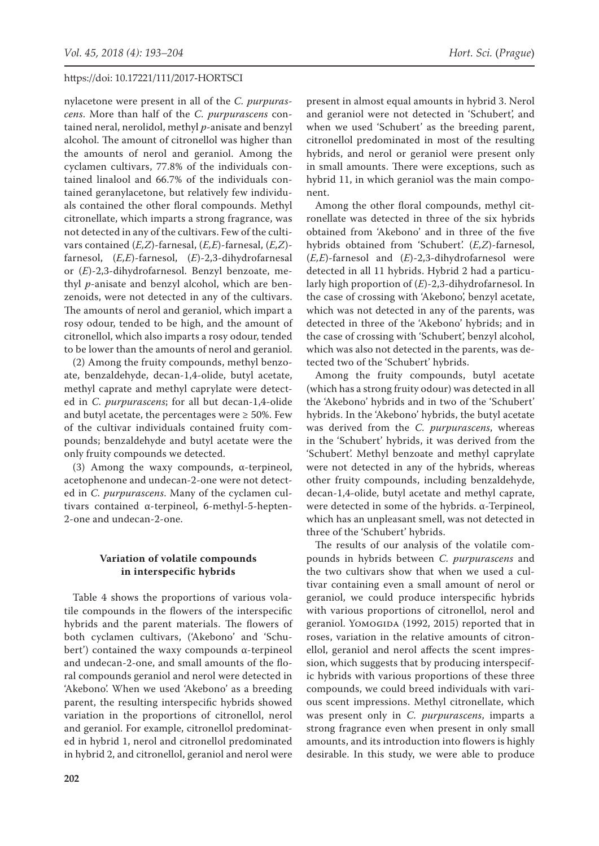nylacetone were present in all of the *C. purpurascens*. More than half of the *C. purpurascens* contained neral, nerolidol, methyl *p*-anisate and benzyl alcohol. The amount of citronellol was higher than the amounts of nerol and geraniol. Among the cyclamen cultivars, 77.8% of the individuals contained linalool and 66.7% of the individuals contained geranylacetone, but relatively few individuals contained the other floral compounds. Methyl citronellate, which imparts a strong fragrance, was not detected in any of the cultivars. Few of the cultivars contained (*E,Z*)-farnesal, (*E,E*)-farnesal, (*E,Z*) farnesol, (*E,E*)-farnesol, (*E*)-2,3-dihydrofarnesal or (*E*)-2,3-dihydrofarnesol. Benzyl benzoate, methyl *p*-anisate and benzyl alcohol, which are benzenoids, were not detected in any of the cultivars. The amounts of nerol and geraniol, which impart a rosy odour, tended to be high, and the amount of citronellol, which also imparts a rosy odour, tended to be lower than the amounts of nerol and geraniol.

(2) Among the fruity compounds, methyl benzoate, benzaldehyde, decan-1,4-olide, butyl acetate, methyl caprate and methyl caprylate were detected in *C. purpurascens*; for all but decan-1,4-olide and butyl acetate, the percentages were  $\geq 50\%$ . Few of the cultivar individuals contained fruity compounds; benzaldehyde and butyl acetate were the only fruity compounds we detected.

(3) Among the waxy compounds, α-terpineol, acetophenone and undecan-2-one were not detected in *C. purpurascens*. Many of the cyclamen cultivars contained α-terpineol, 6-methyl-5-hepten-2-one and undecan-2-one.

# **Variation of volatile compounds in interspecific hybrids**

Table 4 shows the proportions of various volatile compounds in the flowers of the interspecific hybrids and the parent materials. The flowers of both cyclamen cultivars, ('Akebono' and 'Schubert') contained the waxy compounds α-terpineol and undecan-2-one, and small amounts of the floral compounds geraniol and nerol were detected in 'Akebono'. When we used 'Akebono' as a breeding parent, the resulting interspecific hybrids showed variation in the proportions of citronellol, nerol and geraniol. For example, citronellol predominated in hybrid 1, nerol and citronellol predominated in hybrid 2, and citronellol, geraniol and nerol were

present in almost equal amounts in hybrid 3. Nerol and geraniol were not detected in 'Schubert', and when we used 'Schubert' as the breeding parent, citronellol predominated in most of the resulting hybrids, and nerol or geraniol were present only in small amounts. There were exceptions, such as hybrid 11, in which geraniol was the main component.

Among the other floral compounds, methyl citronellate was detected in three of the six hybrids obtained from 'Akebono' and in three of the five hybrids obtained from 'Schubert'. (*E,Z*)-farnesol, (*E,E*)-farnesol and (*E*)-2,3-dihydrofarnesol were detected in all 11 hybrids. Hybrid 2 had a particularly high proportion of (*E*)-2,3-dihydrofarnesol. In the case of crossing with 'Akebono', benzyl acetate, which was not detected in any of the parents, was detected in three of the 'Akebono' hybrids; and in the case of crossing with 'Schubert', benzyl alcohol, which was also not detected in the parents, was detected two of the 'Schubert' hybrids.

Among the fruity compounds, butyl acetate (which has a strong fruity odour) was detected in all the 'Akebono' hybrids and in two of the 'Schubert' hybrids. In the 'Akebono' hybrids, the butyl acetate was derived from the *C. purpurascens*, whereas in the 'Schubert' hybrids, it was derived from the 'Schubert'. Methyl benzoate and methyl caprylate were not detected in any of the hybrids, whereas other fruity compounds, including benzaldehyde, decan-1,4-olide, butyl acetate and methyl caprate, were detected in some of the hybrids. α-Terpineol, which has an unpleasant smell, was not detected in three of the 'Schubert' hybrids.

The results of our analysis of the volatile compounds in hybrids between *C. purpurascens* and the two cultivars show that when we used a cultivar containing even a small amount of nerol or geraniol, we could produce interspecific hybrids with various proportions of citronellol, nerol and geraniol. YOMOGIDA (1992, 2015) reported that in roses, variation in the relative amounts of citronellol, geraniol and nerol affects the scent impression, which suggests that by producing interspecific hybrids with various proportions of these three compounds, we could breed individuals with various scent impressions. Methyl citronellate, which was present only in *C. purpurascens*, imparts a strong fragrance even when present in only small amounts, and its introduction into flowers is highly desirable. In this study, we were able to produce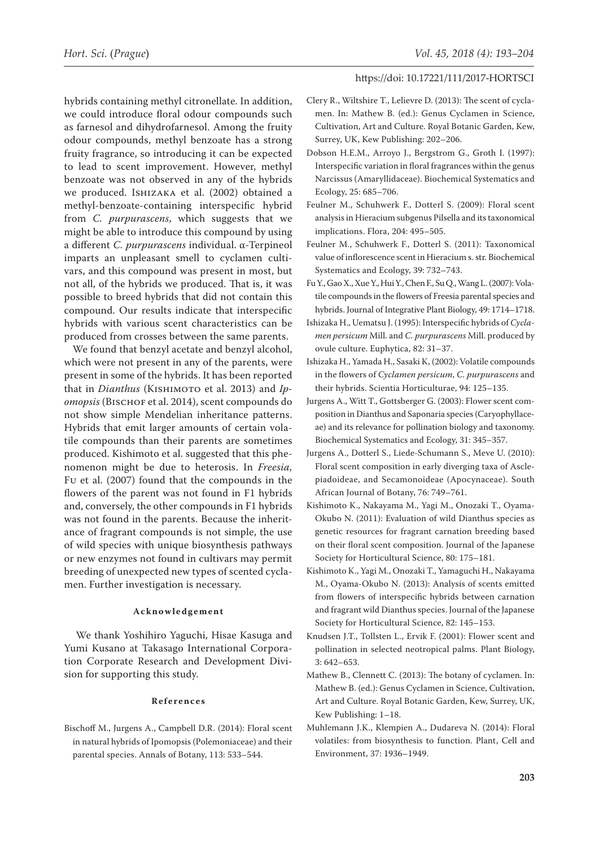hybrids containing methyl citronellate. In addition, we could introduce floral odour compounds such as farnesol and dihydrofarnesol. Among the fruity odour compounds, methyl benzoate has a strong fruity fragrance, so introducing it can be expected to lead to scent improvement. However, methyl benzoate was not observed in any of the hybrids we produced. Ishizaka et al. (2002) obtained a methyl-benzoate-containing interspecific hybrid from *C. purpurascens*, which suggests that we might be able to introduce this compound by using a different *C. purpurascens* individual. α-Terpineol imparts an unpleasant smell to cyclamen cultivars, and this compound was present in most, but not all, of the hybrids we produced. That is, it was possible to breed hybrids that did not contain this compound. Our results indicate that interspecific hybrids with various scent characteristics can be produced from crosses between the same parents.

We found that benzyl acetate and benzyl alcohol, which were not present in any of the parents, were present in some of the hybrids. It has been reported that in *Dianthus* (KISHIMOTO et al. 2013) and Ip*omopsis* (Bischof et al. 2014), scent compounds do not show simple Mendelian inheritance patterns. Hybrids that emit larger amounts of certain volatile compounds than their parents are sometimes produced. Kishimoto et al. suggested that this phenomenon might be due to heterosis. In *Freesia,* Fu et al. (2007) found that the compounds in the flowers of the parent was not found in F1 hybrids and, conversely, the other compounds in F1 hybrids was not found in the parents. Because the inheritance of fragrant compounds is not simple, the use of wild species with unique biosynthesis pathways or new enzymes not found in cultivars may permit breeding of unexpected new types of scented cyclamen. Further investigation is necessary.

#### **Acknowledgement**

 We thank Yoshihiro Yaguchi, Hisae Kasuga and Yumi Kusano at Takasago International Corporation Corporate Research and Development Division for supporting this study.

#### **References**

Bischoff M., Jurgens A., Campbell D.R. (2014): Floral scent in natural hybrids of Ipomopsis (Polemoniaceae) and their parental species. Annals of Botany, 113: 533–544.

- Clery R., Wiltshire T., Lelievre D. (2013): The scent of cyclamen. In: Mathew B. (ed.): Genus Cyclamen in Science, Cultivation, Art and Culture. Royal Botanic Garden, Kew, Surrey, UK, Kew Publishing: 202–206.
- Dobson H.E.M., Arroyo J., Bergstrom G., Groth I. (1997): Interspecific variation in floral fragrances within the genus Narcissus (Amaryllidaceae). Biochemical Systematics and Ecology, 25: 685–706.
- Feulner M., Schuhwerk F., Dotterl S. (2009): Floral scent analysis in Hieracium subgenus Pilsella and its taxonomical implications. Flora, 204: 495–505.
- Feulner M., Schuhwerk F., Dotterl S. (2011): Taxonomical value of inflorescence scent in Hieracium s. str. Biochemical Systematics and Ecology, 39: 732–743.
- Fu Y., Gao X., Xue Y., Hui Y., Chen F., Su Q., Wang L. (2007): Volatile compounds in the flowers of Freesia parental species and hybrids. Journal of Integrative Plant Biology, 49: 1714–1718.
- Ishizaka H., Uematsu J. (1995): Interspecific hybrids of *Cyclamen persicum* Mill. and *C. purpurascens* Mill. produced by ovule culture. Euphytica, 82: 31–37.
- Ishizaka H., Yamada H., Sasaki K, (2002): Volatile compounds in the flowers of *Cyclamen persicum*, *C. purpurascens* and their hybrids. Scientia Horticulturae, 94: 125–135.
- Jurgens A., Witt T., Gottsberger G. (2003): Flower scent composition in Dianthus and Saponaria species (Caryophyllaceae) and its relevance for pollination biology and taxonomy. Biochemical Systematics and Ecology, 31: 345–357.
- Jurgens A., Dotterl S., Liede-Schumann S., Meve U. (2010): Floral scent composition in early diverging taxa of Asclepiadoideae, and Secamonoideae (Apocynaceae). South African Journal of Botany, 76: 749–761.
- Kishimoto K., Nakayama M., Yagi M., Onozaki T., Oyama-Okubo N. (2011): Evaluation of wild Dianthus species as genetic resources for fragrant carnation breeding based on their floral scent composition. Journal of the Japanese Society for Horticultural Science, 80: 175–181.
- Kishimoto K., Yagi M., Onozaki T., Yamaguchi H., Nakayama M., Oyama-Okubo N. (2013): Analysis of scents emitted from flowers of interspecific hybrids between carnation and fragrant wild Dianthus species. Journal of the Japanese Society for Horticultural Science, 82: 145–153.
- Knudsen J.T., Tollsten L., Ervik F. (2001): Flower scent and pollination in selected neotropical palms. Plant Biology, 3: 642–653.
- Mathew B., Clennett C. (2013): The botany of cyclamen. In: Mathew B. (ed.): Genus Cyclamen in Science, Cultivation, Art and Culture. Royal Botanic Garden, Kew, Surrey, UK, Kew Publishing: 1–18.
- Muhlemann J.K., Klempien A., Dudareva N. (2014): Floral volatiles: from biosynthesis to function. Plant, Cell and Environment, 37: 1936–1949.